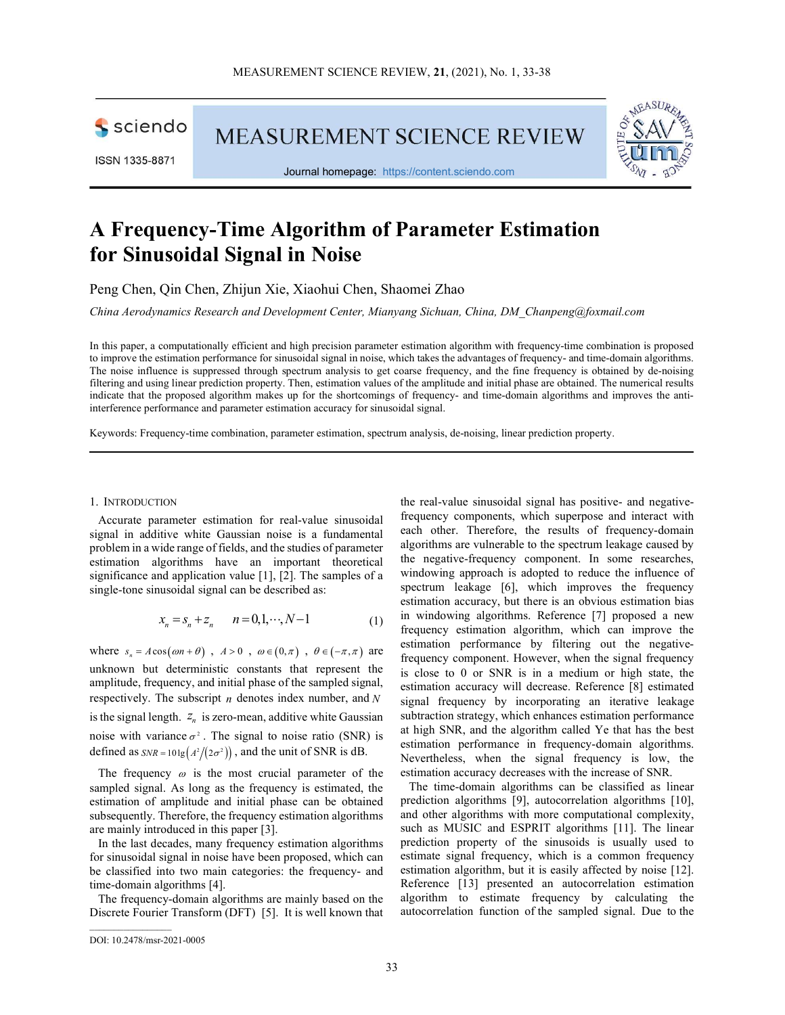sciendo

**MEASUREMENT SCIENCE REVIEW** 



Journal homepage: https://content.sciendo.com



# A Frequency-Time Algorithm of Parameter Estimation for Sinusoidal Signal in Noise

Peng Chen, Qin Chen, Zhijun Xie, Xiaohui Chen, Shaomei Zhao

China Aerodynamics Research and Development Center, Mianyang Sichuan, China, DM\_Chanpeng@foxmail.com

In this paper, a computationally efficient and high precision parameter estimation algorithm with frequency-time combination is proposed to improve the estimation performance for sinusoidal signal in noise, which takes the advantages of frequency- and time-domain algorithms. The noise influence is suppressed through spectrum analysis to get coarse frequency, and the fine frequency is obtained by de-noising filtering and using linear prediction property. Then, estimation values of the amplitude and initial phase are obtained. The numerical results indicate that the proposed algorithm makes up for the shortcomings of frequency- and time-domain algorithms and improves the antiinterference performance and parameter estimation accuracy for sinusoidal signal.

Keywords: Frequency-time combination, parameter estimation, spectrum analysis, de-noising, linear prediction property.

## 1. INTRODUCTION

Accurate parameter estimation for real-value sinusoidal signal in additive white Gaussian noise is a fundamental problem in a wide range of fields, and the studies of parameter estimation algorithms have an important theoretical significance and application value [1], [2]. The samples of a single-tone sinusoidal signal can be described as:

$$
x_n = s_n + z_n \qquad n = 0, 1, \cdots, N - 1 \tag{1}
$$

where  $s_n = A \cos(\omega n + \theta)$ ,  $A > 0$ ,  $\omega \in (0, \pi)$ ,  $\theta \in (-\pi, \pi)$  are unknown but deterministic constants that represent the amplitude, frequency, and initial phase of the sampled signal, respectively. The subscript  $n$  denotes index number, and  $N$ is the signal length.  $Z_n$  is zero-mean, additive white Gaussian noise with variance  $\sigma^2$ . The signal to noise ratio (SNR) is defined as  $SNR = 10 \lg \left(\frac{A^2}{2\sigma^2}\right)$ , and the unit of SNR is dB.

The frequency  $\omega$  is the most crucial parameter of the sampled signal. As long as the frequency is estimated, the estimation of amplitude and initial phase can be obtained subsequently. Therefore, the frequency estimation algorithms are mainly introduced in this paper [3].

In the last decades, many frequency estimation algorithms for sinusoidal signal in noise have been proposed, which can be classified into two main categories: the frequency- and time-domain algorithms [4].

The frequency-domain algorithms are mainly based on the Discrete Fourier Transform (DFT) [5]. It is well known that the real-value sinusoidal signal has positive- and negativefrequency components, which superpose and interact with each other. Therefore, the results of frequency-domain algorithms are vulnerable to the spectrum leakage caused by the negative-frequency component. In some researches, windowing approach is adopted to reduce the influence of spectrum leakage [6], which improves the frequency estimation accuracy, but there is an obvious estimation bias in windowing algorithms. Reference [7] proposed a new frequency estimation algorithm, which can improve the estimation performance by filtering out the negativefrequency component. However, when the signal frequency is close to 0 or SNR is in a medium or high state, the estimation accuracy will decrease. Reference [8] estimated signal frequency by incorporating an iterative leakage subtraction strategy, which enhances estimation performance at high SNR, and the algorithm called Ye that has the best estimation performance in frequency-domain algorithms. Nevertheless, when the signal frequency is low, the estimation accuracy decreases with the increase of SNR.

The time-domain algorithms can be classified as linear prediction algorithms [9], autocorrelation algorithms [10], and other algorithms with more computational complexity, such as MUSIC and ESPRIT algorithms [11]. The linear prediction property of the sinusoids is usually used to estimate signal frequency, which is a common frequency estimation algorithm, but it is easily affected by noise [12]. Reference [13] presented an autocorrelation estimation algorithm to estimate frequency by calculating the autocorrelation function of the sampled signal. Due to the

 $\mathcal{L}_\text{max}$ 

DOI: 10.2478/msr-2021-0005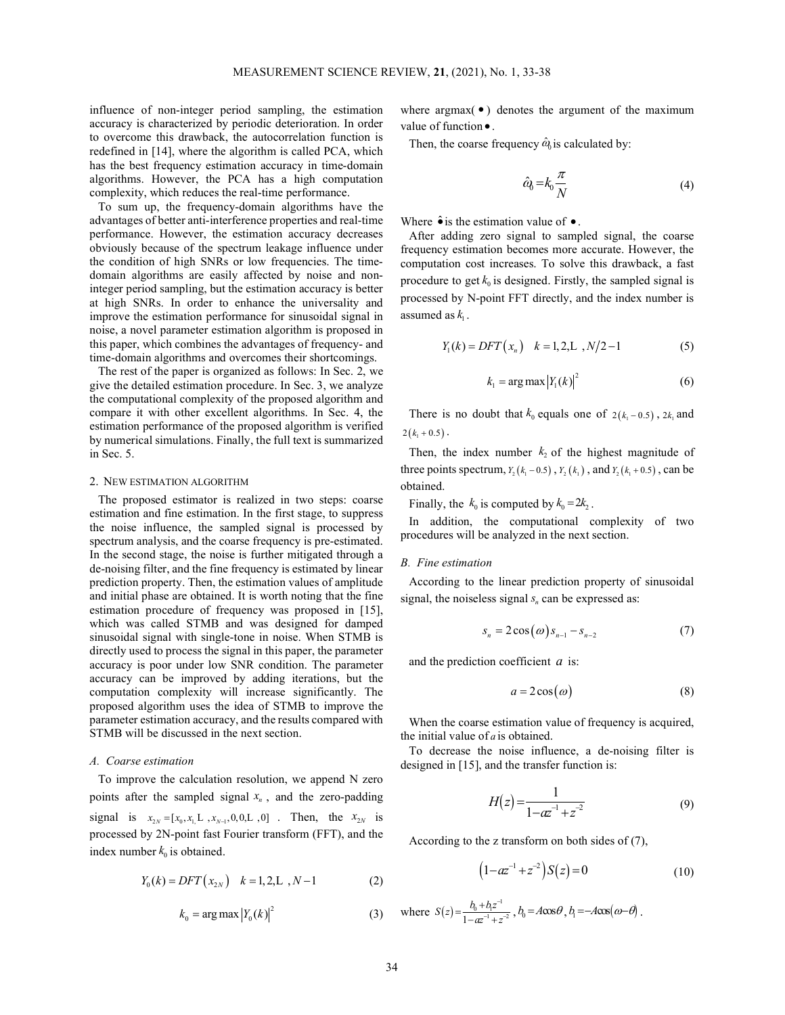influence of non-integer period sampling, the estimation accuracy is characterized by periodic deterioration. In order to overcome this drawback, the autocorrelation function is redefined in [14], where the algorithm is called PCA, which has the best frequency estimation accuracy in time-domain algorithms. However, the PCA has a high computation complexity, which reduces the real-time performance.

To sum up, the frequency-domain algorithms have the advantages of better anti-interference properties and real-time performance. However, the estimation accuracy decreases obviously because of the spectrum leakage influence under the condition of high SNRs or low frequencies. The timedomain algorithms are easily affected by noise and noninteger period sampling, but the estimation accuracy is better at high SNRs. In order to enhance the universality and improve the estimation performance for sinusoidal signal in noise, a novel parameter estimation algorithm is proposed in this paper, which combines the advantages of frequency- and time-domain algorithms and overcomes their shortcomings.

The rest of the paper is organized as follows: In Sec. 2, we give the detailed estimation procedure. In Sec. 3, we analyze the computational complexity of the proposed algorithm and compare it with other excellent algorithms. In Sec. 4, the estimation performance of the proposed algorithm is verified by numerical simulations. Finally, the full text is summarized in Sec. 5.

## 2. NEW ESTIMATION ALGORITHM

The proposed estimator is realized in two steps: coarse estimation and fine estimation. In the first stage, to suppress the noise influence, the sampled signal is processed by spectrum analysis, and the coarse frequency is pre-estimated. In the second stage, the noise is further mitigated through a de-noising filter, and the fine frequency is estimated by linear prediction property. Then, the estimation values of amplitude and initial phase are obtained. It is worth noting that the fine estimation procedure of frequency was proposed in [15], which was called STMB and was designed for damped sinusoidal signal with single-tone in noise. When STMB is directly used to process the signal in this paper, the parameter accuracy is poor under low SNR condition. The parameter accuracy can be improved by adding iterations, but the computation complexity will increase significantly. The proposed algorithm uses the idea of STMB to improve the parameter estimation accuracy, and the results compared with STMB will be discussed in the next section.

## A. Coarse estimation

To improve the calculation resolution, we append N zero points after the sampled signal  $x_n$ , and the zero-padding signal is  $x_{2N} = [x_0, x_1]$ ,  $x_{N-1}, 0, 0, L, 0$  . Then, the  $x_{2N}$  is processed by 2N-point fast Fourier transform (FFT), and the index number  $k_0$  is obtained.

$$
Y_0(k) = DFT(x_{2N}) \quad k = 1, 2, L \, , N-1 \tag{2}
$$

$$
k_0 = \arg \max |Y_0(k)|^2 \tag{3}
$$

where argmax( $\bullet$ ) denotes the argument of the maximum value of function  $\bullet$ .

Then, the coarse frequency  $\hat{\omega}_0$  is calculated by:

$$
\hat{a}_0 = k_0 \frac{\pi}{N} \tag{4}
$$

Where  $\hat{\bullet}$  is the estimation value of  $\bullet$ .

After adding zero signal to sampled signal, the coarse frequency estimation becomes more accurate. However, the computation cost increases. To solve this drawback, a fast procedure to get  $k_0$  is designed. Firstly, the sampled signal is processed by N-point FFT directly, and the index number is assumed as  $k_1$ .

$$
Y_1(k) = DFT(x_n) \quad k = 1, 2, L \, , N/2 - 1 \tag{5}
$$

$$
k_1 = \arg \max |Y_1(k)|^2 \tag{6}
$$

There is no doubt that  $k_0$  equals one of  $2(k_1 - 0.5)$ ,  $2k_1$  and  $2(k_1 + 0.5)$ .

Then, the index number  $k_2$  of the highest magnitude of three points spectrum,  $Y_1(k_1 - 0.5)$ ,  $Y_2(k_1)$ , and  $Y_3(k_1 + 0.5)$ , can be obtained.

Finally, the  $k_0$  is computed by  $k_0 = 2k$ ,

In addition, the computational complexity of two procedures will be analyzed in the next section.

## B. Fine estimation

According to the linear prediction property of sinusoidal signal, the noiseless signal  $s_n$  can be expressed as: According to the linear prediction property of sinusoidal<br>signal, the noiseless signal  $s_n$  can be expressed as:<br> $s_n = 2 \cos(\omega) s_{n-1} - s_{n-2}$  (7)<br>and the prediction coefficient *a* is:<br> $a = 2 \cos(\omega)$  (8)<br>When the coarse estimat

$$
s_n = 2\cos(\omega)s_{n-1} - s_{n-2} \tag{7}
$$

and the prediction coefficient  $a$  is:

$$
a = 2\cos(\omega) \tag{8}
$$

When the coarse estimation value of frequency is acquired, the initial value of  $a$  is obtained.

To decrease the noise influence, a de-noising filter is designed in [15], and the transfer function is:

rum, *Y*<sub>2</sub>(*k*<sub>1</sub> −0.5), *Y*<sub>2</sub>(*k*<sub>1</sub>), and *Y*<sub>2</sub>(*k*<sub>1</sub> + 0.5), can be

\nso computed by *k*<sub>0</sub> = 2*k*<sub>2</sub>.

\nthe computational complexity of two

\ne analyzed in the next section.

\non

\nthe linear prediction property of sinusoidal

\nless signal *s*<sub>n</sub> can be expressed as:

\n
$$
s_n = 2 \cos(\omega) s_{n-1} - s_{n-2}
$$
 (7)

\non coefficient *a* is:

\n
$$
a = 2 \cos(\omega)
$$
 (8)

\ne estimation value of frequency is acquired, *f a* is obtained.

\nthe noise influence, a de-noising filter is and the transfer function is:

\n
$$
H(z) = \frac{1}{1 - az^{-1} + z^{-2}}
$$
 (9)

\ne z transform on both sides of (7), 
$$
1 - az^{-1} + z^{-2}
$$
 (8)

\n100

According to the z transform on both sides of (7),

$$
(1 - az^{-1} + z^{-2})S(z) = 0
$$
 (10)

 $S(z) = \frac{b_0 + b_1 z^{-1}}{1 - az^{-1} + z^{-2}}$  $\overline{-1}$  $\lambda = \frac{b_0 + b_1 z^{-1}}{1 - a z^{-1} + z^{-2}}$ ,  $b_0 = A \cos \theta$ ,  $b_1 = -A \cos(\omega - \theta)$ .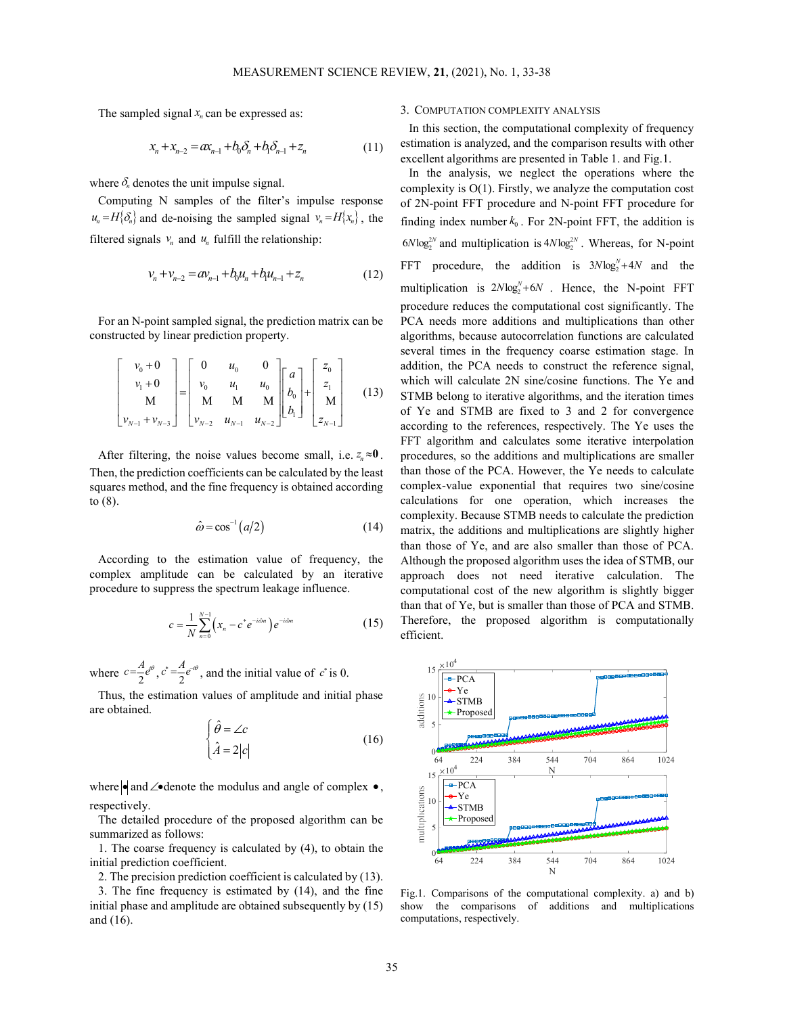The sampled signal  $x_n$  can be expressed as:

$$
x_n + x_{n-2} = a x_{n-1} + b_0 \delta_n + b_1 \delta_{n-1} + z_n \tag{11}
$$

where  $\delta_n$  denotes the unit impulse signal.

Computing N samples of the filter's impulse response  $u_n = H\{\delta_n\}$  and de-noising the sampled signal  $v_n = H\{x_n\}$ , the filtered signals  $v_n$  and  $u_n$  fulfill the relationship:

$$
v_n + v_{n-2} = av_{n-1} + b_0 u_n + b_1 u_{n-1} + z_n \tag{12}
$$

For an N-point sampled signal, the prediction matrix can be constructed by linear prediction property.

$$
\begin{bmatrix} v_0 + 0 \\ v_1 + 0 \\ M \\ v_{N-1} + v_{N-3} \end{bmatrix} = \begin{bmatrix} 0 & u_0 & 0 \\ v_0 & u_1 & u_0 \\ M & M & M \\ v_{N-2} & u_{N-1} & u_{N-2} \end{bmatrix} \begin{bmatrix} a \\ b_0 \\ b_1 \end{bmatrix} + \begin{bmatrix} z_0 \\ z_1 \\ M \\ z_{N-1} \end{bmatrix}
$$
(13)

After filtering, the noise values become small, i.e.  $z_n \approx 0$ . Then, the prediction coefficients can be calculated by the least squares method, and the fine frequency is obtained according to (8).

$$
\hat{\omega} = \cos^{-1}(a/2) \tag{14}
$$

According to the estimation value of frequency, the complex amplitude can be calculated by an iterative procedure to suppress the spectrum leakage influence.

$$
c = \frac{1}{N} \sum_{n=0}^{N-1} \left( x_n - c^* e^{-i\hat{\omega}n} \right) e^{-i\hat{\omega}n}
$$
 (15)

where  $c = \frac{A}{2}e^{i\theta}$ ,  $c^* = \frac{A}{2}$  $c^* = \frac{A}{2}e^{-i\theta}$ , and the initial value of  $c^*$  is 0.

Thus, the estimation values of amplitude and initial phase are obtained.

$$
\begin{cases}\n\hat{\theta} = \angle c \\
\hat{A} = 2|c|\n\end{cases}
$$
\n(16)

where  $\bullet$  and  $\angle\bullet$  denote the modulus and angle of complex  $\bullet$ , respectively.

The detailed procedure of the proposed algorithm can be summarized as follows:

1. The coarse frequency is calculated by (4), to obtain the initial prediction coefficient.

2. The precision prediction coefficient is calculated by (13).

3. The fine frequency is estimated by (14), and the fine initial phase and amplitude are obtained subsequently by (15) and (16).

## 3. COMPUTATION COMPLEXITY ANALYSIS

In this section, the computational complexity of frequency estimation is analyzed, and the comparison results with other excellent algorithms are presented in Table 1. and Fig.1.

multiplication is  $2N \log_2 + 6N$ . Hence, the N-point F<br>
signal, the prediction matrix can be procedure reduces the computational cast significantly. The<br>
light property.<br>
light  $u_0 = 0$  and the server difference is exerced In the analysis, we neglect the operations where the complexity is Ο(1). Firstly, we analyze the computation cost of 2N-point FFT procedure and N-point FFT procedure for finding index number  $k_0$ . For 2N-point FFT, the addition is  $6N \log_2^{2N}$  and multiplication is  $4N \log_2^{2N}$ . Whereas, for N-point FFT procedure, the addition is  $3N \log_2 N + 4N$  and the multiplication is  $2N \log_2 N + 6N$ . Hence, the N-point FFT procedure reduces the computational cost significantly. The PCA needs more additions and multiplications than other algorithms, because autocorrelation functions are calculated several times in the frequency coarse estimation stage. In addition, the PCA needs to construct the reference signal, which will calculate 2N sine/cosine functions. The Ye and STMB belong to iterative algorithms, and the iteration times of Ye and STMB are fixed to 3 and 2 for convergence according to the references, respectively. The Ye uses the FFT algorithm and calculates some iterative interpolation procedures, so the additions and multiplications are smaller than those of the PCA. However, the Ye needs to calculate complex-value exponential that requires two sine/cosine calculations for one operation, which increases the complexity. Because STMB needs to calculate the prediction matrix, the additions and multiplications are slightly higher than those of Ye, and are also smaller than those of PCA. Although the proposed algorithm uses the idea of STMB, our approach does not need iterative calculation. The computational cost of the new algorithm is slightly bigger than that of Ye, but is smaller than those of PCA and STMB. Therefore, the proposed algorithm is computationally efficient. for the reference, respectively. In P t uses the state of exercise, respectively. In Fer these total<br>ugorithm and calculates some iterative intervaluation are smaller ose of the PCA. However, the Ye needs to calculate<br>tio



Fig.1. Comparisons of the computational complexity. a) and b) show the comparisons of additions and multiplications computations, respectively.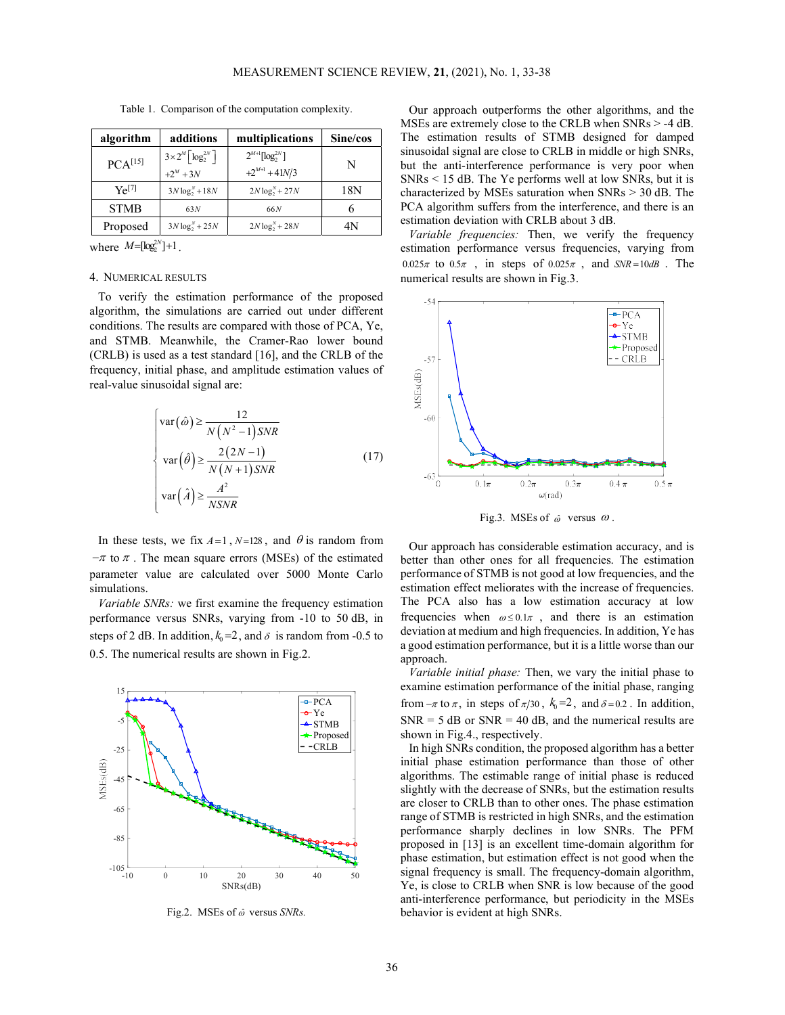algorithm  $\vert$  additions  $\vert$  multiplications  $\vert$  Sine/cos  $PCA<sup>[15]</sup>$  $3 \times 2^M \left[\log_2^{2N}\right]$  $+2^{M} + 3N$  $2^{M+\!1}[\log_2^{2N}]$  $+2^{M+1}$  + 41N/3 N Ye[7]  $3N \log_2^N + 18N$   $2N \log_2^N + 27N$  18N  $STMB$  63N 66N 6 Proposed  $3N \log_2 N + 25N$  2 $N \log_2 N + 28N$  4N

Table 1. Comparison of the computation complexity.

where  $M = [\log_2^{2N}] + 1$ .

#### 4. NUMERICAL RESULTS

To verify the estimation performance of the proposed algorithm, the simulations are carried out under different conditions. The results are compared with those of PCA, Ye, and STMB. Meanwhile, the Cramer-Rao lower bound (CRLB) is used as a test standard [16], and the CRLB of the frequency, initial phase, and amplitude estimation values of real-value sinusoidal signal are:

$$
\begin{cases}\n\text{var}(\hat{\omega}) \ge \frac{12}{N(N^2 - 1)SNR} \\
\text{var}(\hat{\theta}) \ge \frac{2(2N - 1)}{N(N + 1)SNR} \\
\text{var}(\hat{A}) \ge \frac{A^2}{NSNR}\n\end{cases}
$$
\n(17)

In these tests, we fix  $A=1$ ,  $N=128$ , and  $\theta$  is random from  $-\pi$  to  $\pi$ . The mean square errors (MSEs) of the estimated parameter value are calculated over 5000 Monte Carlo simulations.

Variable SNRs: we first examine the frequency estimation performance versus SNRs, varying from -10 to 50 dB, in steps of 2 dB. In addition,  $k_0 = 2$ , and  $\delta$  is random from -0.5 to 0.5. The numerical results are shown in Fig.2.



Fig.2. MSEs of  $\hat{\omega}$  versus SNRs.

Our approach outperforms the other algorithms, and the MSEs are extremely close to the CRLB when SNRs > -4 dB. The estimation results of STMB designed for damped sinusoidal signal are close to CRLB in middle or high SNRs, but the anti-interference performance is very poor when SNRs < 15 dB. The Ye performs well at low SNRs, but it is characterized by MSEs saturation when SNRs > 30 dB. The PCA algorithm suffers from the interference, and there is an estimation deviation with CRLB about 3 dB.

Variable frequencies: Then, we verify the frequency estimation performance versus frequencies, varying from  $0.025\pi$  to  $0.5\pi$ , in steps of  $0.025\pi$ , and  $SNR = 10dB$ . The numerical results are shown in Fig.3.



Fig.3. MSEs of  $\hat{\omega}$  versus  $\omega$ .

Our approach has considerable estimation accuracy, and is better than other ones for all frequencies. The estimation performance of STMB is not good at low frequencies, and the estimation effect meliorates with the increase of frequencies. The PCA also has a low estimation accuracy at low frequencies when  $\omega \leq 0.1\pi$ , and there is an estimation deviation at medium and high frequencies. In addition, Ye has a good estimation performance, but it is a little worse than our approach.

Variable initial phase: Then, we vary the initial phase to examine estimation performance of the initial phase, ranging PCA  $\parallel$  from  $-\pi$  to  $\pi$ , in steps of  $\pi/30$ ,  $k_0 = 2$ , and  $\delta = 0.2$ . In addition,  $\begin{array}{c|c}\n \text{Ye} & \text{SNR} = 5 \text{ dB or SNR} = 40 \text{ dB, and the numerical results are}\n\end{array}$ Proposed | shown in Fig.4., respectively. STMB  $\begin{bmatrix} 1 \\ 0 \end{bmatrix}$  SNR = 5 dB or SNR = 40 dB, and the num

> In high SNRs condition, the proposed algorithm has a better initial phase estimation performance than those of other algorithms. The estimable range of initial phase is reduced slightly with the decrease of SNRs, but the estimation results are closer to CRLB than to other ones. The phase estimation range of STMB is restricted in high SNRs, and the estimation performance sharply declines in low SNRs. The PFM proposed in [13] is an excellent time-domain algorithm for phase estimation, but estimation effect is not good when the signal frequency is small. The frequency-domain algorithm, Ye, is close to CRLB when SNR is low because of the good anti-interference performance, but periodicity in the MSEs behavior is evident at high SNRs.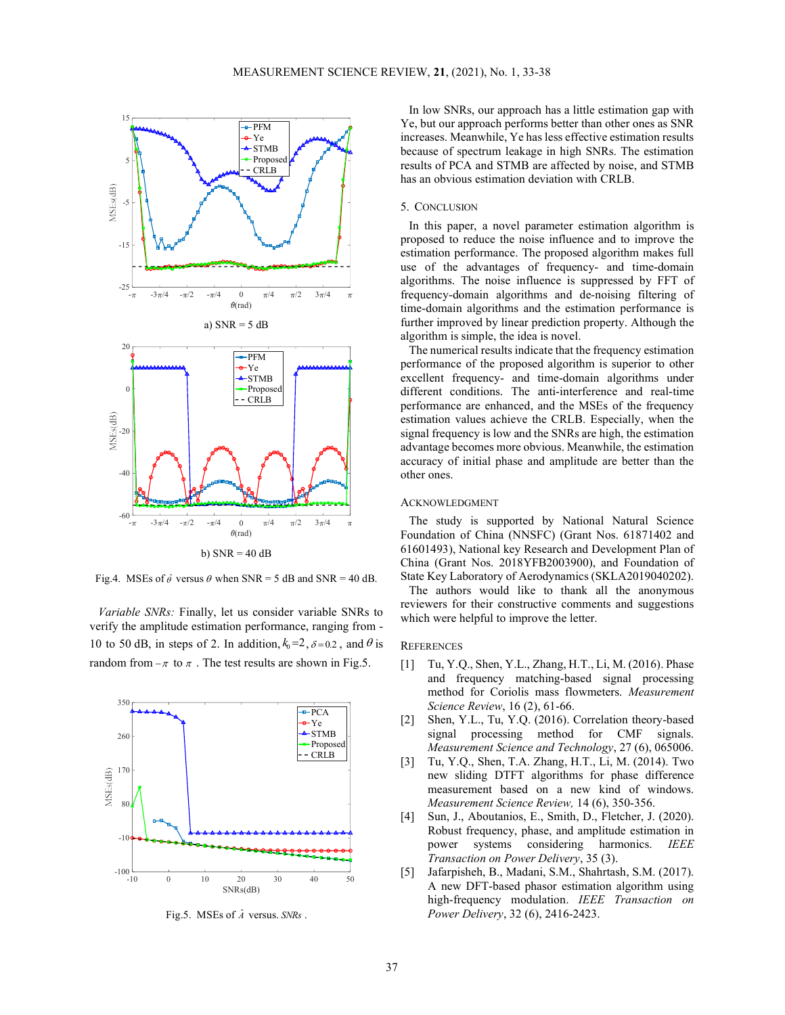

Fig.4. MSEs of  $\hat{\theta}$  versus  $\theta$  when SNR = 5 dB and SNR = 40 dB.

Variable SNRs: Finally, let us consider variable SNRs to verify the amplitude estimation performance, ranging from - 10 to 50 dB, in steps of 2. In addition,  $k_0 = 2$ ,  $\delta = 0.2$ , and  $\theta$  is random from  $-\pi$  to  $\pi$ . The test results are shown in Fig.5.



Fig.5. MSEs of  $\hat{A}$  versus. SNRs.

In low SNRs, our approach has a little estimation gap with  $\overline{PFM}$   $\overline{PFM}$   $\overline{P}$   $\overline{P}$   $\overline{P}$   $\overline{P}$   $\overline{P}$   $\overline{P}$   $\overline{P}$   $\overline{P}$   $\overline{P}$   $\overline{P}$   $\overline{P}$   $\overline{P}$   $\overline{P}$   $\overline{P}$   $\overline{P}$   $\overline{P}$   $\overline{P}$   $\overline{P}$   $\overline{P}$   $\overline{P}$   $\overline{P}$   $\overline{P}$   $\over$  $Y_e$  increases. Meanwhile, Ye has less effective estimation results STMB  $\int_{\mathbb{R}}^{\mathbb{R}}$   $\int_{\mathbb{R}}^{\mathbb{R}}$  strum because of spectrum leakage in high SNRs. The estimation Proposed  $\begin{bmatrix} a & b \\ c \end{bmatrix}$  is the contract of PCA and STMB are affected by noise, and STMB has an obvious estimation deviation with CRLB. CRLB  $\begin{vmatrix} 1 & 1 & 1 \end{vmatrix}$  itsuits of I CA and STIVID are

## 5. CONCLUSION

In this paper, a novel parameter estimation algorithm is proposed to reduce the noise influence and to improve the estimation performance. The proposed algorithm makes full use of the advantages of frequency- and time-domain algorithms. The noise influence is suppressed by FFT of  $f_{-\pi}$  -3 $\pi$ /4 - $\pi$ /2 - $\pi$ /4  $\pi$  /2 3 $\pi$ /4  $\pi$  frequency-domain algorithms and de-noising filtering of time-domain algorithms and the estimation performance is further improved by linear prediction property. Although the algorithm is simple, the idea is novel.

> The numerical results indicate that the frequency estimation performance of the proposed algorithm is superior to other<br>
> Ye  $STMB$   $\uparrow$  excellent frequency- and time-domain algorithms under Proposed different conditions. The anti-interference and real-time performance are enhanced, and the MSEs of the frequency CRLB estimation values achieve the CRLB. Especially, when the signal frequency is low and the SNRs are high, the estimation advantage becomes more obvious. Meanwhile, the estimation accuracy of initial phase and amplitude are better than the other ones.

## ACKNOWLEDGMENT

 $T_{\pi}$  -3 $\pi$ /4 - $\pi$ /2 - $\pi$ /4 0  $\pi$ /4  $\pi$ /2 3 $\pi$ /4  $\pi$  The study is supported by National Natural Science Foundation of China (NNSFC) (Grant Nos. 61871402 and 61601493), National key Research and Development Plan of China (Grant Nos. 2018YFB2003900), and Foundation of State Key Laboratory of Aerodynamics (SKLA2019040202).

> The authors would like to thank all the anonymous reviewers for their constructive comments and suggestions which were helpful to improve the letter.

## **REFERENCES**

- [1] Tu, Y.Q., Shen, Y.L., Zhang, H.T., Li, M. (2016). Phase and frequency matching-based signal processing method for Coriolis mass flowmeters. Measurement Science Review, 16 (2), 61-66.
- $\begin{array}{c|c}\n\text{PCA} \\
\text{Ye} \\
\text{I2} \\
\text{Shen, Y.L., Tu, Y.Q. (2016). Correlation theory-based}\n\end{array}$ STMB **EXAMPLE** Signal processing method for CMF signals. Proposed Measurement Science and Technology, 27 (6), 065006.  $Y_e$   $\begin{bmatrix} 2 \end{bmatrix}$  Snen, Y.L., IU,
	- [3] Tu, Y.Q., Shen, T.A. Zhang, H.T., Li, M. (2014). Two new sliding DTFT algorithms for phase difference measurement based on a new kind of windows. Measurement Science Review, 14 (6), 350-356.
	- [4] Sun, J., Aboutanios, E., Smith, D., Fletcher, J. (2020). Robust frequency, phase, and amplitude estimation in power systems considering harmonics. IEEE Transaction on Power Delivery, 35 (3).
	- [5] Jafarpisheh, B., Madani, S.M., Shahrtash, S.M. (2017). A new DFT-based phasor estimation algorithm using high-frequency modulation. IEEE Transaction on Power Delivery, 32 (6), 2416-2423.